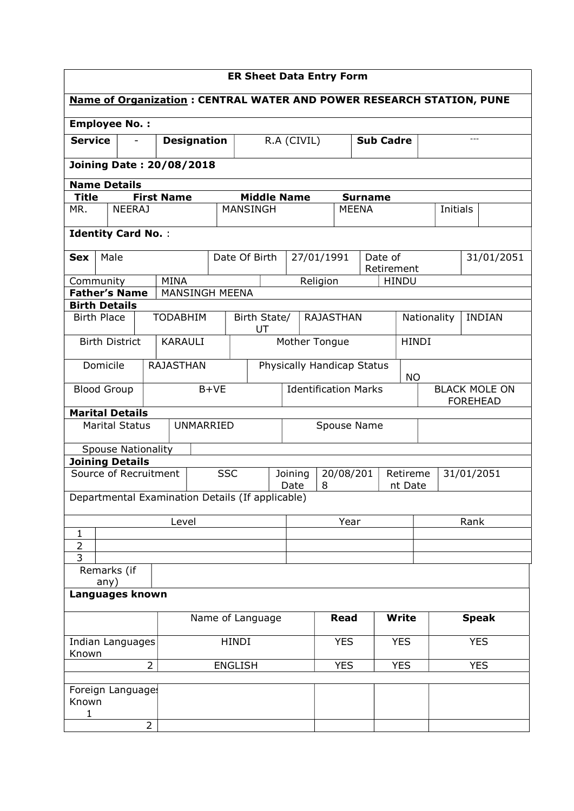| <b>ER Sheet Data Entry Form</b>           |                              |                                 |                       |                                                                      |                                               |                                         |              |                |              |                                         |            |               |
|-------------------------------------------|------------------------------|---------------------------------|-----------------------|----------------------------------------------------------------------|-----------------------------------------------|-----------------------------------------|--------------|----------------|--------------|-----------------------------------------|------------|---------------|
|                                           |                              |                                 |                       | Name of Organization: CENTRAL WATER AND POWER RESEARCH STATION, PUNE |                                               |                                         |              |                |              |                                         |            |               |
|                                           | <b>Employee No.:</b>         |                                 |                       |                                                                      |                                               |                                         |              |                |              |                                         |            |               |
| <b>Service</b>                            |                              |                                 | <b>Designation</b>    |                                                                      |                                               | R.A (CIVIL)<br><b>Sub Cadre</b>         |              |                | $- - -$      |                                         |            |               |
| <b>Joining Date: 20/08/2018</b>           |                              |                                 |                       |                                                                      |                                               |                                         |              |                |              |                                         |            |               |
|                                           | <b>Name Details</b>          |                                 |                       |                                                                      |                                               |                                         |              |                |              |                                         |            |               |
| <b>Title</b>                              |                              | <b>First Name</b>               |                       | <b>Middle Name</b>                                                   |                                               |                                         |              | <b>Surname</b> |              |                                         |            |               |
| MR.                                       | NEERAJ                       |                                 |                       | <b>MANSINGH</b>                                                      |                                               |                                         | <b>MEENA</b> |                |              | Initials                                |            |               |
|                                           | <b>Identity Card No.:</b>    |                                 |                       |                                                                      |                                               |                                         |              |                |              |                                         |            |               |
| <b>Sex</b>                                | Male                         |                                 |                       | Date Of Birth                                                        |                                               | 27/01/1991                              |              | Date of        |              |                                         |            | 31/01/2051    |
|                                           |                              | <b>MINA</b>                     |                       |                                                                      |                                               |                                         |              | Retirement     |              |                                         |            |               |
| Community                                 | <b>Father's Name</b>         |                                 | <b>MANSINGH MEENA</b> |                                                                      |                                               | Religion                                |              |                | <b>HINDU</b> |                                         |            |               |
| <b>Birth Details</b>                      |                              |                                 |                       |                                                                      |                                               |                                         |              |                |              |                                         |            |               |
| <b>Birth Place</b>                        |                              | <b>TODABHIM</b>                 |                       | Birth State/<br>UT                                                   |                                               | <b>RAJASTHAN</b>                        |              |                |              | Nationality                             |            | <b>INDIAN</b> |
|                                           | <b>Birth District</b>        | Mother Tongue<br><b>KARAULI</b> |                       |                                                                      |                                               |                                         |              | <b>HINDI</b>   |              |                                         |            |               |
|                                           | Domicile<br><b>RAJASTHAN</b> |                                 |                       |                                                                      |                                               | Physically Handicap Status<br><b>NO</b> |              |                |              |                                         |            |               |
|                                           | <b>Blood Group</b>           |                                 | $B+VE$                |                                                                      |                                               | <b>Identification Marks</b>             |              |                |              | <b>BLACK MOLE ON</b><br><b>FOREHEAD</b> |            |               |
|                                           | <b>Marital Details</b>       |                                 |                       |                                                                      |                                               |                                         |              |                |              |                                         |            |               |
|                                           | <b>Marital Status</b>        |                                 | <b>UNMARRIED</b>      |                                                                      |                                               | Spouse Name                             |              |                |              |                                         |            |               |
|                                           | <b>Spouse Nationality</b>    |                                 |                       |                                                                      |                                               |                                         |              |                |              |                                         |            |               |
|                                           | <b>Joining Details</b>       |                                 |                       |                                                                      |                                               |                                         |              |                |              |                                         |            |               |
|                                           | Source of Recruitment        |                                 | <b>SSC</b>            |                                                                      | 20/08/201<br>Joining<br>Retireme<br>Date<br>8 |                                         |              | nt Date        | 31/01/2051   |                                         |            |               |
|                                           |                              |                                 |                       | Departmental Examination Details (If applicable)                     |                                               |                                         |              |                |              |                                         |            |               |
|                                           |                              | Level                           |                       |                                                                      |                                               | Year                                    |              |                | Rank         |                                         |            |               |
| $\mathbf{1}$<br>$\overline{2}$            |                              |                                 |                       |                                                                      |                                               |                                         |              |                |              |                                         |            |               |
| 3                                         |                              |                                 |                       |                                                                      |                                               |                                         |              |                |              |                                         |            |               |
|                                           | Remarks (if<br>any)          |                                 |                       |                                                                      |                                               |                                         |              |                |              |                                         |            |               |
| Languages known                           |                              |                                 |                       |                                                                      |                                               |                                         |              |                |              |                                         |            |               |
| Name of Language                          |                              |                                 |                       |                                                                      | <b>Read</b>                                   |                                         | <b>Write</b> |                |              | <b>Speak</b>                            |            |               |
| <b>HINDI</b><br>Indian Languages<br>Known |                              |                                 |                       |                                                                      | <b>YES</b>                                    |                                         | <b>YES</b>   |                |              | <b>YES</b>                              |            |               |
| $\overline{2}$<br><b>ENGLISH</b>          |                              |                                 |                       |                                                                      |                                               | <b>YES</b>                              |              | <b>YES</b>     |              |                                         | <b>YES</b> |               |
|                                           | Foreign Language             |                                 |                       |                                                                      |                                               |                                         |              |                |              |                                         |            |               |
| Known<br>1                                |                              |                                 |                       |                                                                      |                                               |                                         |              |                |              |                                         |            |               |
|                                           |                              | $\overline{2}$                  |                       |                                                                      |                                               |                                         |              |                |              |                                         |            |               |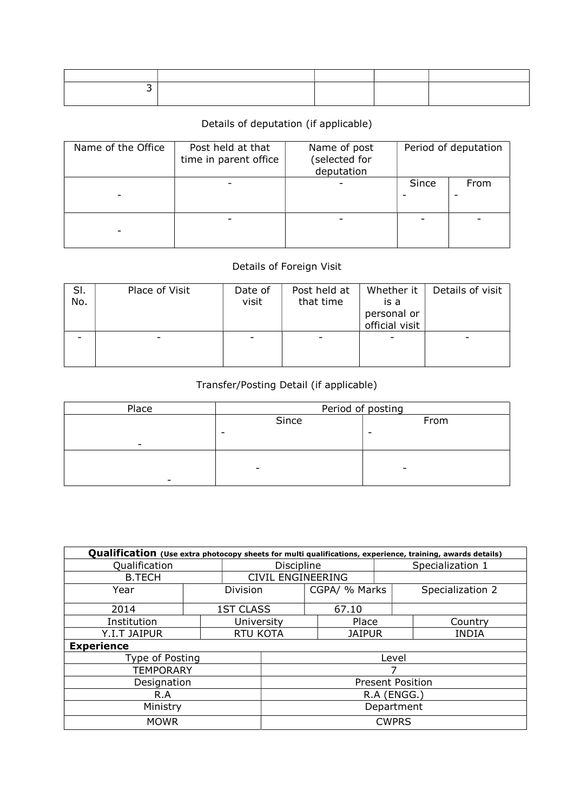## Details of deputation (if applicable)

| Name of the Office | Post held at that<br>time in parent office | Name of post<br>(selected for<br>deputation | Period of deputation |      |  |
|--------------------|--------------------------------------------|---------------------------------------------|----------------------|------|--|
|                    |                                            |                                             | Since                | From |  |
|                    |                                            |                                             |                      |      |  |

## Details of Foreign Visit

| SI.<br>No. | Place of Visit | Date of<br>visit | Post held at<br>that time | Whether it<br>is a<br>personal or<br>official visit | Details of visit |
|------------|----------------|------------------|---------------------------|-----------------------------------------------------|------------------|
|            |                |                  |                           |                                                     |                  |

## Transfer/Posting Detail (if applicable)

| Place                    | Period of posting        |      |  |  |  |  |
|--------------------------|--------------------------|------|--|--|--|--|
|                          | Since                    | From |  |  |  |  |
|                          | -                        | -    |  |  |  |  |
| $\overline{\phantom{0}}$ |                          |      |  |  |  |  |
|                          |                          |      |  |  |  |  |
|                          | $\overline{\phantom{0}}$ |      |  |  |  |  |
|                          |                          |      |  |  |  |  |

| Qualification (Use extra photocopy sheets for multi qualifications, experience, training, awards details) |  |                          |       |               |               |                  |                  |  |  |  |
|-----------------------------------------------------------------------------------------------------------|--|--------------------------|-------|---------------|---------------|------------------|------------------|--|--|--|
| Qualification                                                                                             |  | <b>Discipline</b>        |       |               |               | Specialization 1 |                  |  |  |  |
| <b>B.TECH</b>                                                                                             |  | <b>CIVIL ENGINEERING</b> |       |               |               |                  |                  |  |  |  |
| Year                                                                                                      |  | <b>Division</b>          |       | CGPA/ % Marks |               |                  | Specialization 2 |  |  |  |
| 2014                                                                                                      |  | <b>1ST CLASS</b>         |       |               | 67.10         |                  |                  |  |  |  |
| Institution                                                                                               |  | University               |       |               | Place         |                  | Country          |  |  |  |
| Y.I.T JAIPUR                                                                                              |  | <b>RTU KOTA</b>          |       |               | <b>JAIPUR</b> |                  | <b>INDIA</b>     |  |  |  |
| <b>Experience</b>                                                                                         |  |                          |       |               |               |                  |                  |  |  |  |
| Type of Posting                                                                                           |  |                          | Level |               |               |                  |                  |  |  |  |
| <b>TEMPORARY</b>                                                                                          |  |                          |       |               |               |                  |                  |  |  |  |
| Designation                                                                                               |  | <b>Present Position</b>  |       |               |               |                  |                  |  |  |  |
| R.A                                                                                                       |  | R.A (ENGG.)              |       |               |               |                  |                  |  |  |  |
| Ministry                                                                                                  |  | Department               |       |               |               |                  |                  |  |  |  |
| <b>MOWR</b>                                                                                               |  | <b>CWPRS</b>             |       |               |               |                  |                  |  |  |  |